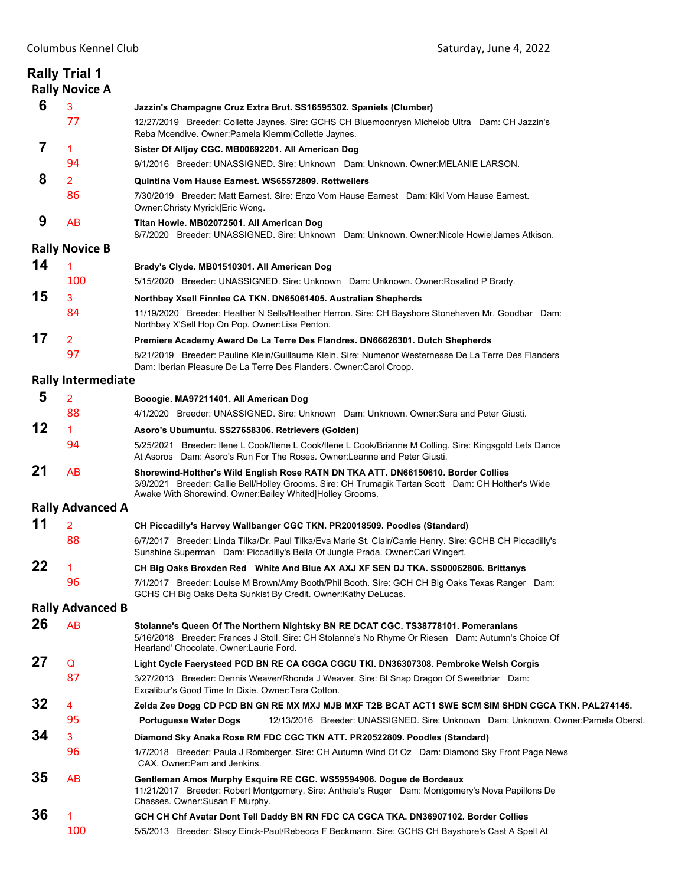| <b>Rally Trial 1</b><br><b>Rally Novice A</b> |                           |                                                                                                                                                                                                                                                      |  |
|-----------------------------------------------|---------------------------|------------------------------------------------------------------------------------------------------------------------------------------------------------------------------------------------------------------------------------------------------|--|
| 6                                             | 3                         | Jazzin's Champagne Cruz Extra Brut. SS16595302. Spaniels (Clumber)                                                                                                                                                                                   |  |
|                                               | 77                        | 12/27/2019 Breeder: Collette Jaynes. Sire: GCHS CH Bluemoonrysn Michelob Ultra Dam: CH Jazzin's<br>Reba Mcendive. Owner: Pamela Klemm Collette Jaynes.                                                                                               |  |
| 7                                             | 1                         | Sister Of Alljoy CGC. MB00692201. All American Dog                                                                                                                                                                                                   |  |
|                                               | 94                        | 9/1/2016 Breeder: UNASSIGNED. Sire: Unknown Dam: Unknown. Owner:MELANIE LARSON.                                                                                                                                                                      |  |
| 8                                             | $\overline{2}$            | Quintina Vom Hause Earnest. WS65572809. Rottweilers                                                                                                                                                                                                  |  |
|                                               | 86                        | 7/30/2019 Breeder: Matt Earnest, Sire: Enzo Vom Hause Earnest Dam: Kiki Vom Hause Earnest,<br>Owner: Christy Myrick   Eric Wong.                                                                                                                     |  |
| 9                                             | <b>AB</b>                 | Titan Howie. MB02072501. All American Dog<br>8/7/2020 Breeder: UNASSIGNED. Sire: Unknown Dam: Unknown. Owner: Nicole Howie James Atkison.                                                                                                            |  |
|                                               | <b>Rally Novice B</b>     |                                                                                                                                                                                                                                                      |  |
| 14                                            | 1                         | Brady's Clyde. MB01510301. All American Dog                                                                                                                                                                                                          |  |
|                                               | 100                       | 5/15/2020 Breeder: UNASSIGNED. Sire: Unknown Dam: Unknown. Owner: Rosalind P Brady.                                                                                                                                                                  |  |
| 15                                            | 3                         | Northbay Xsell Finnlee CA TKN. DN65061405. Australian Shepherds                                                                                                                                                                                      |  |
|                                               | 84                        | 11/19/2020 Breeder: Heather N Sells/Heather Herron. Sire: CH Bayshore Stonehaven Mr. Goodbar Dam:                                                                                                                                                    |  |
|                                               |                           | Northbay X'Sell Hop On Pop. Owner:Lisa Penton.                                                                                                                                                                                                       |  |
| 17                                            | 2                         | Premiere Academy Award De La Terre Des Flandres. DN66626301. Dutch Shepherds                                                                                                                                                                         |  |
|                                               | 97                        | 8/21/2019 Breeder: Pauline Klein/Guillaume Klein. Sire: Numenor Westernesse De La Terre Des Flanders<br>Dam: Iberian Pleasure De La Terre Des Flanders. Owner:Carol Croop.                                                                           |  |
|                                               | <b>Rally Intermediate</b> |                                                                                                                                                                                                                                                      |  |
| 5                                             | $\overline{2}$            | Booogie. MA97211401. All American Dog                                                                                                                                                                                                                |  |
|                                               | 88                        | 4/1/2020 Breeder: UNASSIGNED. Sire: Unknown Dam: Unknown. Owner: Sara and Peter Giusti.                                                                                                                                                              |  |
| 12                                            | 1                         |                                                                                                                                                                                                                                                      |  |
|                                               | 94                        | Asoro's Ubumuntu. SS27658306. Retrievers (Golden)<br>5/25/2021 Breeder: Ilene L Cook/Ilene L Cook/Ilene L Cook/Brianne M Colling. Sire: Kingsgold Lets Dance                                                                                         |  |
|                                               |                           | At Asoros Dam: Asoro's Run For The Roses, Owner: Leanne and Peter Giusti.                                                                                                                                                                            |  |
| 21                                            | AB                        | Shorewind-Holther's Wild English Rose RATN DN TKA ATT. DN66150610. Border Collies<br>3/9/2021 Breeder: Callie Bell/Holley Grooms. Sire: CH Trumagik Tartan Scott Dam: CH Holther's Wide<br>Awake With Shorewind. Owner: Bailey Whited Holley Grooms. |  |
|                                               | <b>Rally Advanced A</b>   |                                                                                                                                                                                                                                                      |  |
| 11                                            | $\overline{2}$            | CH Piccadilly's Harvey Wallbanger CGC TKN. PR20018509. Poodles (Standard)                                                                                                                                                                            |  |
|                                               | 88                        | 6/7/2017 Breeder: Linda Tilka/Dr. Paul Tilka/Eva Marie St. Clair/Carrie Henry. Sire: GCHB CH Piccadilly's<br>Sunshine Superman Dam: Piccadilly's Bella Of Jungle Prada. Owner: Cari Wingert.                                                         |  |
| 22                                            | 1                         | CH Big Oaks Broxden Red White And Blue AX AXJ XF SEN DJ TKA. SS00062806. Brittanys                                                                                                                                                                   |  |
|                                               | 96                        | 7/1/2017 Breeder: Louise M Brown/Amy Booth/Phil Booth. Sire: GCH CH Big Oaks Texas Ranger Dam:<br>GCHS CH Big Oaks Delta Sunkist By Credit. Owner: Kathy DeLucas.                                                                                    |  |
|                                               | <b>Rally Advanced B</b>   |                                                                                                                                                                                                                                                      |  |
| 26                                            | <b>AB</b>                 | Stolanne's Queen Of The Northern Nightsky BN RE DCAT CGC. TS38778101. Pomeranians<br>5/16/2018 Breeder: Frances J Stoll. Sire: CH Stolanne's No Rhyme Or Riesen Dam: Autumn's Choice Of<br>Hearland' Chocolate. Owner: Laurie Ford.                  |  |
| 27                                            | Q                         | Light Cycle Faerysteed PCD BN RE CA CGCA CGCU TKI. DN36307308. Pembroke Welsh Corgis                                                                                                                                                                 |  |
|                                               | 87                        | 3/27/2013 Breeder: Dennis Weaver/Rhonda J Weaver. Sire: BI Snap Dragon Of Sweetbriar Dam:<br>Excalibur's Good Time In Dixie. Owner: Tara Cotton.                                                                                                     |  |
| 32                                            | 4                         | Zelda Zee Dogg CD PCD BN GN RE MX MXJ MJB MXF T2B BCAT ACT1 SWE SCM SIM SHDN CGCA TKN. PAL274145.                                                                                                                                                    |  |
|                                               | 95                        | 12/13/2016 Breeder: UNASSIGNED. Sire: Unknown Dam: Unknown. Owner: Pamela Oberst.<br><b>Portuguese Water Dogs</b>                                                                                                                                    |  |
| 34                                            | 3                         | Diamond Sky Anaka Rose RM FDC CGC TKN ATT. PR20522809. Poodles (Standard)                                                                                                                                                                            |  |
|                                               | 96                        | 1/7/2018 Breeder: Paula J Romberger. Sire: CH Autumn Wind Of Oz Dam: Diamond Sky Front Page News<br>CAX. Owner: Pam and Jenkins.                                                                                                                     |  |
| 35                                            | <b>AB</b>                 |                                                                                                                                                                                                                                                      |  |
|                                               |                           | Gentleman Amos Murphy Esquire RE CGC. WS59594906. Dogue de Bordeaux<br>11/21/2017 Breeder: Robert Montgomery. Sire: Antheia's Ruger Dam: Montgomery's Nova Papillons De<br>Chasses. Owner: Susan F Murphy.                                           |  |
| 36                                            |                           | GCH CH Chf Avatar Dont Tell Daddy BN RN FDC CA CGCA TKA. DN36907102. Border Collies                                                                                                                                                                  |  |
|                                               | 100                       | 5/5/2013 Breeder: Stacy Einck-Paul/Rebecca F Beckmann. Sire: GCHS CH Bayshore's Cast A Spell At                                                                                                                                                      |  |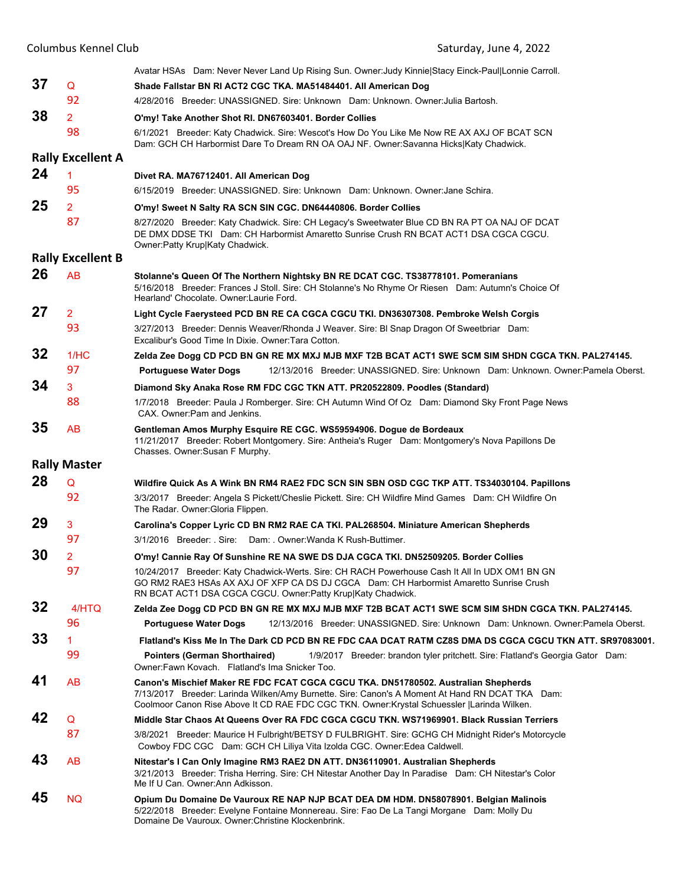|    | <b>Columbus Kennel Club</b> | Saturday, June 4, 2022                                                                                                                                                                                                                                                                |
|----|-----------------------------|---------------------------------------------------------------------------------------------------------------------------------------------------------------------------------------------------------------------------------------------------------------------------------------|
|    |                             | Avatar HSAs Dam: Never Never Land Up Rising Sun. Owner: Judy Kinnie Stacy Einck-Paul Lonnie Carroll.                                                                                                                                                                                  |
| 37 | Q                           | Shade Fallstar BN RI ACT2 CGC TKA. MA51484401. All American Dog                                                                                                                                                                                                                       |
|    | 92                          | 4/28/2016 Breeder: UNASSIGNED. Sire: Unknown Dam: Unknown. Owner: Julia Bartosh.                                                                                                                                                                                                      |
| 38 | $\overline{2}$              | O'my! Take Another Shot RI. DN67603401. Border Collies                                                                                                                                                                                                                                |
|    | 98                          | 6/1/2021 Breeder: Katy Chadwick. Sire: Wescot's How Do You Like Me Now RE AX AXJ OF BCAT SCN<br>Dam: GCH CH Harbormist Dare To Dream RN OA OAJ NF. Owner: Savanna Hicks Katy Chadwick.                                                                                                |
|    | <b>Rally Excellent A</b>    |                                                                                                                                                                                                                                                                                       |
| 24 | 1                           | Divet RA. MA76712401. All American Dog                                                                                                                                                                                                                                                |
|    | 95                          | 6/15/2019 Breeder: UNASSIGNED, Sire: Unknown Dam: Unknown, Owner: Jane Schira,                                                                                                                                                                                                        |
| 25 | $\overline{2}$              | O'my! Sweet N Salty RA SCN SIN CGC. DN64440806. Border Collies                                                                                                                                                                                                                        |
|    | 87                          | 8/27/2020 Breeder: Katy Chadwick. Sire: CH Legacy's Sweetwater Blue CD BN RA PT OA NAJ OF DCAT<br>DE DMX DDSE TKI Dam: CH Harbormist Amaretto Sunrise Crush RN BCAT ACT1 DSA CGCA CGCU.<br>Owner: Patty Krup Katy Chadwick.                                                           |
|    | <b>Rally Excellent B</b>    |                                                                                                                                                                                                                                                                                       |
| 26 | AB                          | Stolanne's Queen Of The Northern Nightsky BN RE DCAT CGC. TS38778101. Pomeranians<br>5/16/2018 Breeder: Frances J Stoll. Sire: CH Stolanne's No Rhyme Or Riesen Dam: Autumn's Choice Of<br>Hearland' Chocolate. Owner: Laurie Ford.                                                   |
| 27 | 2                           | Light Cycle Faerysteed PCD BN RE CA CGCA CGCU TKI. DN36307308. Pembroke Welsh Corgis                                                                                                                                                                                                  |
|    | 93                          | 3/27/2013 Breeder: Dennis Weaver/Rhonda J Weaver. Sire: BI Snap Dragon Of Sweetbriar Dam:<br>Excalibur's Good Time In Dixie. Owner:Tara Cotton.                                                                                                                                       |
| 32 | 1/HC                        | Zelda Zee Dogg CD PCD BN GN RE MX MXJ MJB MXF T2B BCAT ACT1 SWE SCM SIM SHDN CGCA TKN. PAL274145.                                                                                                                                                                                     |
|    | 97                          | 12/13/2016 Breeder: UNASSIGNED. Sire: Unknown Dam: Unknown. Owner: Pamela Oberst.<br><b>Portuguese Water Dogs</b>                                                                                                                                                                     |
| 34 | 3                           | Diamond Sky Anaka Rose RM FDC CGC TKN ATT. PR20522809. Poodles (Standard)                                                                                                                                                                                                             |
|    | 88                          | 1/7/2018 Breeder: Paula J Romberger. Sire: CH Autumn Wind Of Oz Dam: Diamond Sky Front Page News<br>CAX. Owner: Pam and Jenkins.                                                                                                                                                      |
| 35 | <b>AB</b>                   | Gentleman Amos Murphy Esquire RE CGC. WS59594906. Dogue de Bordeaux<br>11/21/2017 Breeder: Robert Montgomery. Sire: Antheia's Ruger Dam: Montgomery's Nova Papillons De<br>Chasses. Owner: Susan F Murphy.                                                                            |
|    | <b>Rally Master</b>         |                                                                                                                                                                                                                                                                                       |
| 28 | Q                           | Wildfire Quick As A Wink BN RM4 RAE2 FDC SCN SIN SBN OSD CGC TKP ATT. TS34030104. Papillons                                                                                                                                                                                           |
|    | 92                          | 3/3/2017 Breeder: Angela S Pickett/Cheslie Pickett. Sire: CH Wildfire Mind Games Dam: CH Wildfire On<br>The Radar. Owner Gloria Flippen.                                                                                                                                              |
| 29 | 3                           | Carolina's Copper Lyric CD BN RM2 RAE CA TKI. PAL268504. Miniature American Shepherds                                                                                                                                                                                                 |
|    | 97                          | 3/1/2016 Breeder: . Sire: Dam: . Owner: Wanda K Rush-Buttimer.                                                                                                                                                                                                                        |
| 30 | $\overline{2}$              | O'my! Cannie Ray Of Sunshine RE NA SWE DS DJA CGCA TKI. DN52509205. Border Collies                                                                                                                                                                                                    |
|    | 97                          | 10/24/2017 Breeder: Katy Chadwick-Werts. Sire: CH RACH Powerhouse Cash It All In UDX OM1 BN GN<br>GO RM2 RAE3 HSAs AX AXJ OF XFP CA DS DJ CGCA Dam: CH Harbormist Amaretto Sunrise Crush<br>RN BCAT ACT1 DSA CGCA CGCU. Owner: Patty Krup Katy Chadwick.                              |
| 32 | 4/HTQ                       | Zelda Zee Dogg CD PCD BN GN RE MX MXJ MJB MXF T2B BCAT ACT1 SWE SCM SIM SHDN CGCA TKN. PAL274145.                                                                                                                                                                                     |
|    | 96                          | 12/13/2016 Breeder: UNASSIGNED. Sire: Unknown Dam: Unknown. Owner: Pamela Oberst.<br><b>Portuguese Water Dogs</b>                                                                                                                                                                     |
| 33 | 1.                          | Flatland's Kiss Me In The Dark CD PCD BN RE FDC CAA DCAT RATM CZ8S DMA DS CGCA CGCU TKN ATT. SR97083001.                                                                                                                                                                              |
|    | 99                          | <b>Pointers (German Shorthaired)</b><br>1/9/2017 Breeder: brandon tyler pritchett. Sire: Flatland's Georgia Gator Dam:<br>Owner: Fawn Kovach. Flatland's Ima Snicker Too.                                                                                                             |
| 41 | <b>AB</b>                   | Canon's Mischief Maker RE FDC FCAT CGCA CGCU TKA. DN51780502. Australian Shepherds<br>7/13/2017 Breeder: Larinda Wilken/Amy Burnette. Sire: Canon's A Moment At Hand RN DCAT TKA Dam:<br>Coolmoor Canon Rise Above It CD RAE FDC CGC TKN. Owner: Krystal Schuessler   Larinda Wilken. |
| 42 | Q                           | Middle Star Chaos At Queens Over RA FDC CGCA CGCU TKN. WS71969901. Black Russian Terriers                                                                                                                                                                                             |
|    | 87                          | 3/8/2021 Breeder: Maurice H Fulbright/BETSY D FULBRIGHT. Sire: GCHG CH Midnight Rider's Motorcycle<br>Cowboy FDC CGC Dam: GCH CH Liliya Vita Izolda CGC. Owner:Edea Caldwell.                                                                                                         |
| 43 | <b>AB</b>                   | Nitestar's I Can Only Imagine RM3 RAE2 DN ATT. DN36110901. Australian Shepherds<br>3/21/2013 Breeder: Trisha Herring. Sire: CH Nitestar Another Day In Paradise Dam: CH Nitestar's Color<br>Me If U Can. Owner: Ann Adkisson.                                                         |
| 45 | <b>NQ</b>                   | Opium Du Domaine De Vauroux RE NAP NJP BCAT DEA DM HDM. DN58078901. Belgian Malinois<br>5/22/2018 Breeder: Evelyne Fontaine Monnereau. Sire: Fao De La Tangi Morgane Dam: Molly Du<br>Domaine De Vauroux. Owner: Christine Klockenbrink.                                              |